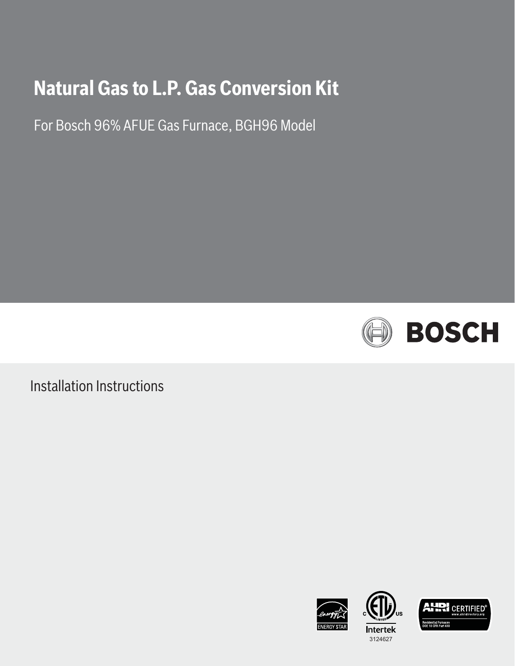# **Natural Gas to L.P. Gas Conversion Kit**

For Bosch 96% AFUE Gas Furnace, BGH96 Model



Installation Instructions





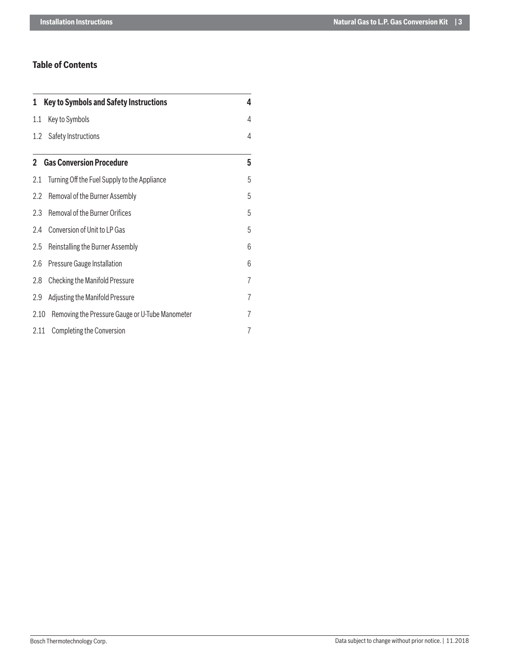## **Table of Contents**

| <b>Key to Symbols and Safety Instructions</b><br>1. |                                                 | 4 |
|-----------------------------------------------------|-------------------------------------------------|---|
| 1.1                                                 | Key to Symbols                                  | 4 |
| 1.2                                                 | Safety Instructions                             | 4 |
|                                                     | <b>2</b> Gas Conversion Procedure               | 5 |
| 2.1                                                 | Turning Off the Fuel Supply to the Appliance    | 5 |
| 2.2                                                 | Removal of the Burner Assembly                  | 5 |
| 2.3                                                 | Removal of the Burner Orifices                  | 5 |
| 2.4                                                 | Conversion of Unit to LP Gas                    | 5 |
| 2.5                                                 | Reinstalling the Burner Assembly                | 6 |
| 2.6                                                 | Pressure Gauge Installation                     | 6 |
| 2.8                                                 | Checking the Manifold Pressure                  | 7 |
| 2.9                                                 | Adjusting the Manifold Pressure                 | 7 |
| 2.10                                                | Removing the Pressure Gauge or U-Tube Manometer | 7 |
| 2.11                                                | <b>Completing the Conversion</b>                | 7 |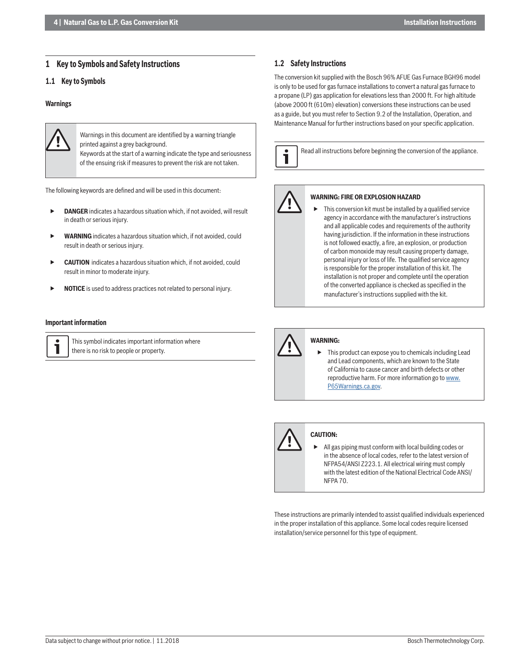#### **1 Key to Symbols and Safety Instructions**

#### **1.1 Key to Symbols**

#### **Warnings**



Warnings in this document are identified by a warning triangle printed against a grey background.

 Keywords at the start of a warning indicate the type and seriousness of the ensuing risk if measures to prevent the risk are not taken.

The following keywords are defined and will be used in this document:

- **DANGER** indicates a hazardous situation which, if not avoided, will result in death or serious injury.
- **WARNING** indicates a hazardous situation which, if not avoided, could result in death or serious injury.
- **CAUTION** indicates a hazardous situation which, if not avoided, could result in minor to moderate injury.
- **NOTICE** is used to address practices not related to personal injury.

#### **Important information**

  This symbol indicates important information where there is no risk to people or property.

#### **1.2 Safety Instructions**

The conversion kit supplied with the Bosch 96% AFUE Gas Furnace BGH96 model is only to be used for gas furnace installations to convert a natural gas furnace to a propane (LP) gas application for elevations less than 2000 ft. For high altitude (above 2000 ft (610m) elevation) conversions these instructions can be used as a guide, but you must refer to Section 9.2 of the Installation, Operation, and Maintenance Manual for further instructions based on your specific application.





#### **WARNING: FIRE OR EXPLOSION HAZARD**

This conversion kit must be installed by a qualified service agency in accordance with the manufacturer's instructions and all applicable codes and requirements of the authority having jurisdiction. If the information in these instructions is not followed exactly, a fire, an explosion, or production of carbon monoxide may result causing property damage, personal injury or loss of life. The qualified service agency is responsible for the proper installation of this kit. The installation is not proper and complete until the operation of the converted appliance is checked as specified in the manufacturer's instructions supplied with the kit.



#### **WARNING:**

 $\triangleright$  This product can expose you to chemicals including Lead and Lead components, which are known to the State of California to cause cancer and birth defects or other reproductive harm. For more information go to www. P65Warnings.ca.gov.



#### **CAUTION:**

 All gas piping must conform with local building codes or in the absence of local codes, refer to the latest version of NFPA54/ANSI Z223.1. All electrical wiring must comply with the latest edition of the National Electrical Code ANSI/ NFPA 70.

These instructions are primarily intended to assist qualified individuals experienced in the proper installation of this appliance. Some local codes require licensed installation/service personnel for this type of equipment.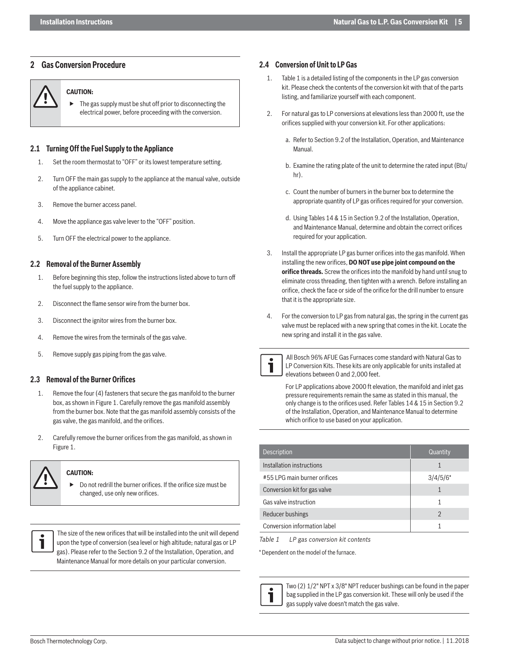### **2 Gas Conversion Procedure**

#### **CAUTION:**

 The gas supply must be shut off prior to disconnecting the electrical power, before proceeding with the conversion.

#### **2.1 Turning Off the Fuel Supply to the Appliance**

- 1. Set the room thermostat to "OFF" or its lowest temperature setting.
- 2. Turn OFF the main gas supply to the appliance at the manual valve, outside of the appliance cabinet.
- 3. Remove the burner access panel.
- 4. Move the appliance gas valve lever to the "OFF" position.
- 5. Turn OFF the electrical power to the appliance.

#### **2.2 Removal of the Burner Assembly**

- 1. Before beginning this step, follow the instructions listed above to turn off the fuel supply to the appliance.
- 2. Disconnect the flame sensor wire from the burner box.
- 3. Disconnect the ignitor wires from the burner box.
- 4. Remove the wires from the terminals of the gas valve.
- 5. Remove supply gas piping from the gas valve.

#### **2.3 Removal of the Burner Orifices**

- 1. Remove the four (4) fasteners that secure the gas manifold to the burner box, as shown in Figure 1. Carefully remove the gas manifold assembly from the burner box. Note that the gas manifold assembly consists of the gas valve, the gas manifold, and the orifices.
- 2. Carefully remove the burner orifices from the gas manifold, as shown in Figure 1.

#### **CAUTION:**

 Do not redrill the burner orifices. If the orifice size must be changed, use only new orifices.



#### **2.4 Conversion of Unit to LP Gas**

- 1. Table 1 is a detailed listing of the components in the LP gas conversion kit. Please check the contents of the conversion kit with that of the parts listing, and familiarize yourself with each component.
- 2. For natural gas to LP conversions at elevations less than 2000 ft, use the orifices supplied with your conversion kit. For other applications:
	- a. Refer to Section 9.2 of the Installation, Operation, and Maintenance Manual.
	- b. Examine the rating plate of the unit to determine the rated input (Btu/ hr).
	- c. Count the number of burners in the burner box to determine the appropriate quantity of LP gas orifices required for your conversion.
	- d. Using Tables 14 & 15 in Section 9.2 of the Installation, Operation, and Maintenance Manual, determine and obtain the correct orifices required for your application.
- 3. Install the appropriate LP gas burner orifices into the gas manifold. When installing the new orifices, **DO NOT use pipe joint compound on the** orifice threads. Screw the orifices into the manifold by hand until snug to eliminate cross threading, then tighten with a wrench. Before installing an orifice, check the face or side of the orifice for the drill number to ensure that it is the appropriate size.
- 4. For the conversion to LP gas from natural gas, the spring in the current gas valve must be replaced with a new spring that comes in the kit. Locate the new spring and install it in the gas valve.



 All Bosch 96% AFUE Gas Furnaces come standard with Natural Gas to LP Conversion Kits. These kits are only applicable for units installed at elevations between 0 and 2,000 feet.

For LP applications above 2000 ft elevation, the manifold and inlet gas pressure requirements remain the same as stated in this manual, the only change is to the orifices used. Refer Tables 14 & 15 in Section 9.2 of the Installation, Operation, and Maintenance Manual to determine which orifice to use based on your application.

| Description                  | Quantity       |
|------------------------------|----------------|
| Installation instructions    |                |
| #55 LPG main burner orifices | $3/4/5/6*$     |
| Conversion kit for gas valve |                |
| Gas valve instruction        |                |
| Reducer bushings             | $\mathfrak{D}$ |
| Conversion information label |                |

*Table 1 LP gas conversion kit contents*

\* Dependent on the model of the furnace.



 Two (2) 1/2" NPT x 3/8" NPT reducer bushings can be found in the paper bag supplied in the LP gas conversion kit. These will only be used if the gas supply valve doesn't match the gas valve.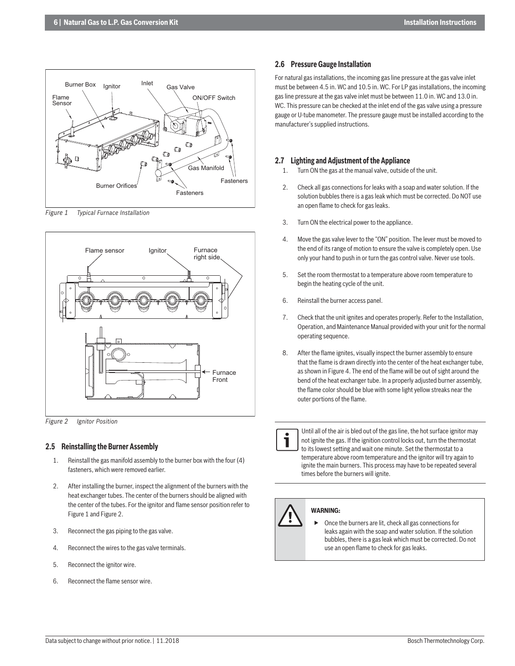

*Figure 1 Typical Furnace Installation*



*Figure 2 Ignitor Position*

#### **2.5 Reinstalling the Burner Assembly**

- 1. Reinstall the gas manifold assembly to the burner box with the four (4) fasteners, which were removed earlier.
- 2. After installing the burner, inspect the alignment of the burners with the heat exchanger tubes. The center of the burners should be aligned with the center of the tubes. For the ignitor and flame sensor position refer to Figure 1 and Figure 2.
- 3. Reconnect the gas piping to the gas valve.
- 4. Reconnect the wires to the gas valve terminals.
- 5. Reconnect the ignitor wire.
- 6. Reconnect the flame sensor wire.

#### **2.6 Pressure Gauge Installation**

For natural gas installations, the incoming gas line pressure at the gas valve inlet must be between 4.5 in. WC and 10.5 in. WC. For LP gas installations, the incoming gas line pressure at the gas valve inlet must be between 11.0 in. WC and 13.0 in. WC. This pressure can be checked at the inlet end of the gas valve using a pressure gauge or U-tube manometer. The pressure gauge must be installed according to the manufacturer's supplied instructions.

#### **2.7 Lighting and Adjustment of the Appliance**

- 1. Turn ON the gas at the manual valve, outside of the unit.
- 2. Check all gas connections for leaks with a soap and water solution. If the solution bubbles there is a gas leak which must be corrected. Do NOT use an open flame to check for gas leaks.
- 3. Turn ON the electrical power to the appliance.
- 4. Move the gas valve lever to the "ON" position. The lever must be moved to the end of its range of motion to ensure the valve is completely open. Use only your hand to push in or turn the gas control valve. Never use tools.
- 5. Set the room thermostat to a temperature above room temperature to begin the heating cycle of the unit.
- 6. Reinstall the burner access panel.
- 7. Check that the unit ignites and operates properly. Refer to the Installation, Operation, and Maintenance Manual provided with your unit for the normal operating sequence.
- 8. After the flame ignites, visually inspect the burner assembly to ensure that the flame is drawn directly into the center of the heat exchanger tube, as shown in Figure 4. The end of the flame will be out of sight around the bend of the heat exchanger tube. In a properly adjusted burner assembly, the flame color should be blue with some light yellow streaks near the outer portions of the flame.



   Until all of the air is bled out of the gas line, the hot surface ignitor may not ignite the gas. If the ignition control locks out, turn the thermostat to its lowest setting and wait one minute. Set the thermostat to a temperature above room temperature and the ignitor will try again to ignite the main burners. This process may have to be repeated several times before the burners will ignite.

# **WARNING:**

 Once the burners are lit, check all gas connections for leaks again with the soap and water solution. If the solution bubbles, there is a gas leak which must be corrected. Do not use an open flame to check for gas leaks.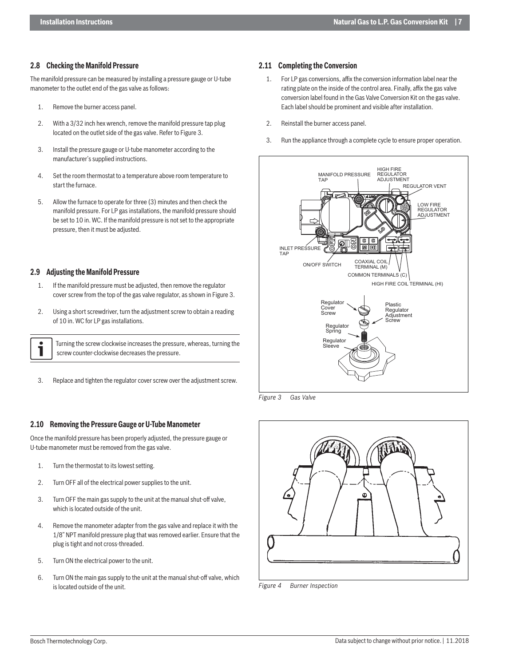#### **2.8 Checking the Manifold Pressure**

The manifold pressure can be measured by installing a pressure gauge or U-tube manometer to the outlet end of the gas valve as follows:

- 1. Remove the burner access panel.
- 2. With a 3/32 inch hex wrench, remove the manifold pressure tap plug located on the outlet side of the gas valve. Refer to Figure 3.
- 3. Install the pressure gauge or U-tube manometer according to the manufacturer's supplied instructions.
- 4. Set the room thermostat to a temperature above room temperature to start the furnace.
- 5. Allow the furnace to operate for three (3) minutes and then check the manifold pressure. For LP gas installations, the manifold pressure should be set to 10 in. WC. If the manifold pressure is not set to the appropriate pressure, then it must be adjusted.

#### **2.9 Adjusting the Manifold Pressure**

- 1. If the manifold pressure must be adjusted, then remove the regulator cover screw from the top of the gas valve regulator, as shown in Figure 3.
- 2. Using a short screwdriver, turn the adjustment screw to obtain a reading of 10 in. WC for LP gas installations.

   Turning the screw clockwise increases the pressure, whereas, turning the screw counter-clockwise decreases the pressure.

3. Replace and tighten the regulator cover screw over the adjustment screw.

#### **2.10 Removing the Pressure Gauge or U-Tube Manometer**

Once the manifold pressure has been properly adjusted, the pressure gauge or U-tube manometer must be removed from the gas valve.

- 1. Turn the thermostat to its lowest setting.
- 2. Turn OFF all of the electrical power supplies to the unit.
- 3. Turn OFF the main gas supply to the unit at the manual shut-off valve, which is located outside of the unit.
- 4. Remove the manometer adapter from the gas valve and replace it with the 1/8" NPT manifold pressure plug that was removed earlier. Ensure that the plug is tight and not cross-threaded.
- 5. Turn ON the electrical power to the unit.
- 6. Turn ON the main gas supply to the unit at the manual shut-off valve, which is located outside of the unit.

#### **2.11 Completing the Conversion**

- 1. For LP gas conversions, affix the conversion information label near the rating plate on the inside of the control area. Finally, affix the gas valve conversion label found in the Gas Valve Conversion Kit on the gas valve. Each label should be prominent and visible after installation.
- 2. Reinstall the burner access panel.
- 3. Run the appliance through a complete cycle to ensure proper operation.



*Figure 3 Gas Valve*



*Figure 4 Burner Inspection*